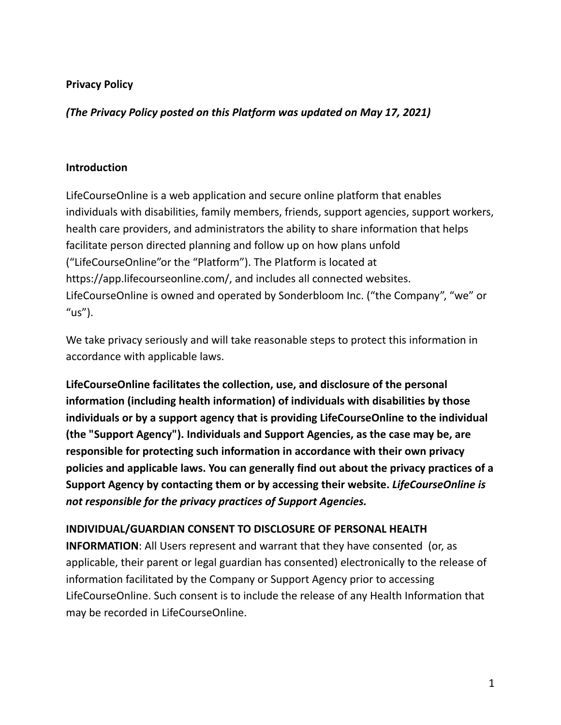### **Privacy Policy**

*(The Privacy Policy posted on this Platform was updated on May 17, 2021)*

#### **Introduction**

LifeCourseOnline is a web application and secure online platform that enables individuals with disabilities, family members, friends, support agencies, support workers, health care providers, and administrators the ability to share information that helps facilitate person directed planning and follow up on how plans unfold ("LifeCourseOnline"or the "Platform"). The Platform is located at https://app.lifecourseonline.com/, and includes all connected websites. LifeCourseOnline is owned and operated by Sonderbloom Inc. ("the Company", "we" or " $us$ ").

We take privacy seriously and will take reasonable steps to protect this information in accordance with applicable laws.

**LifeCourseOnline facilitates the collection, use, and disclosure of the personal information (including health information) of individuals with disabilities by those individuals or by a support agency that is providing LifeCourseOnline to the individual (the "Support Agency"). Individuals and Support Agencies, as the case may be, are responsible for protecting such information in accordance with their own privacy policies and applicable laws. You can generally find out about the privacy practices of a Support Agency by contacting them or by accessing their website.** *LifeCourseOnline is not responsible for the privacy practices of Support Agencies.*

### **INDIVIDUAL/GUARDIAN CONSENT TO DISCLOSURE OF PERSONAL HEALTH**

**INFORMATION**: All Users represent and warrant that they have consented (or, as applicable, their parent or legal guardian has consented) electronically to the release of information facilitated by the Company or Support Agency prior to accessing LifeCourseOnline. Such consent is to include the release of any Health Information that may be recorded in LifeCourseOnline.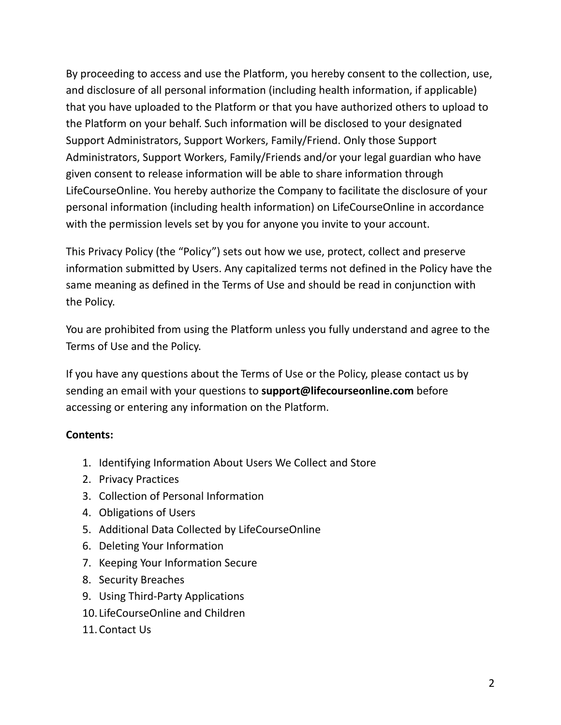By proceeding to access and use the Platform, you hereby consent to the collection, use, and disclosure of all personal information (including health information, if applicable) that you have uploaded to the Platform or that you have authorized others to upload to the Platform on your behalf. Such information will be disclosed to your designated Support Administrators, Support Workers, Family/Friend. Only those Support Administrators, Support Workers, Family/Friends and/or your legal guardian who have given consent to release information will be able to share information through LifeCourseOnline. You hereby authorize the Company to facilitate the disclosure of your personal information (including health information) on LifeCourseOnline in accordance with the permission levels set by you for anyone you invite to your account.

This Privacy Policy (the "Policy") sets out how we use, protect, collect and preserve information submitted by Users. Any capitalized terms not defined in the Policy have the same meaning as defined in the Terms of Use and should be read in conjunction with the Policy.

You are prohibited from using the Platform unless you fully understand and agree to the Terms of Use and the Policy.

If you have any questions about the Terms of Use or the Policy, please contact us by sending an email with your questions to **support@lifecourseonline.com** before accessing or entering any information on the Platform.

### **Contents:**

- 1. Identifying Information About Users We Collect and Store
- 2. Privacy Practices
- 3. Collection of Personal Information
- 4. Obligations of Users
- 5. Additional Data Collected by LifeCourseOnline
- 6. Deleting Your Information
- 7. Keeping Your Information Secure
- 8. Security Breaches
- 9. Using Third-Party Applications
- 10. LifeCourseOnline and Children
- 11.Contact Us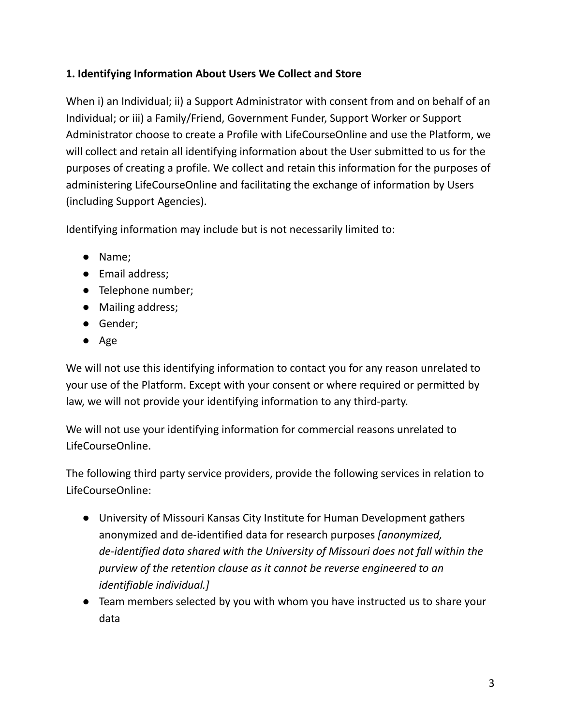# **1. Identifying Information About Users We Collect and Store**

When i) an Individual; ii) a Support Administrator with consent from and on behalf of an Individual; or iii) a Family/Friend, Government Funder, Support Worker or Support Administrator choose to create a Profile with LifeCourseOnline and use the Platform, we will collect and retain all identifying information about the User submitted to us for the purposes of creating a profile. We collect and retain this information for the purposes of administering LifeCourseOnline and facilitating the exchange of information by Users (including Support Agencies).

Identifying information may include but is not necessarily limited to:

- Name;
- Email address;
- Telephone number;
- Mailing address;
- Gender;
- Age

We will not use this identifying information to contact you for any reason unrelated to your use of the Platform. Except with your consent or where required or permitted by law, we will not provide your identifying information to any third-party.

We will not use your identifying information for commercial reasons unrelated to LifeCourseOnline.

The following third party service providers, provide the following services in relation to LifeCourseOnline:

- University of Missouri Kansas City Institute for Human Development gathers anonymized and de-identified data for research purposes *[anonymized, de-identified data shared with the University of Missouri does not fall within the purview of the retention clause as it cannot be reverse engineered to an identifiable individual.]*
- Team members selected by you with whom you have instructed us to share your data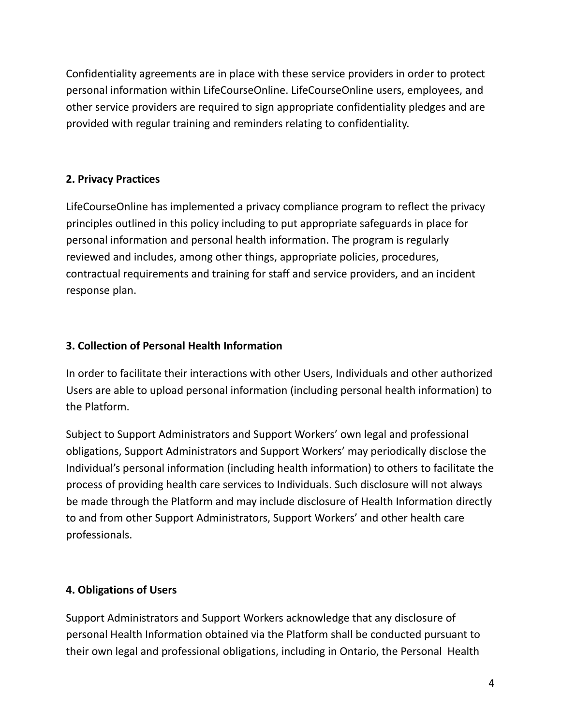Confidentiality agreements are in place with these service providers in order to protect personal information within LifeCourseOnline. LifeCourseOnline users, employees, and other service providers are required to sign appropriate confidentiality pledges and are provided with regular training and reminders relating to confidentiality.

### **2. Privacy Practices**

LifeCourseOnline has implemented a privacy compliance program to reflect the privacy principles outlined in this policy including to put appropriate safeguards in place for personal information and personal health information. The program is regularly reviewed and includes, among other things, appropriate policies, procedures, contractual requirements and training for staff and service providers, and an incident response plan.

# **3. Collection of Personal Health Information**

In order to facilitate their interactions with other Users, Individuals and other authorized Users are able to upload personal information (including personal health information) to the Platform.

Subject to Support Administrators and Support Workers' own legal and professional obligations, Support Administrators and Support Workers' may periodically disclose the Individual's personal information (including health information) to others to facilitate the process of providing health care services to Individuals. Such disclosure will not always be made through the Platform and may include disclosure of Health Information directly to and from other Support Administrators, Support Workers' and other health care professionals.

# **4. Obligations of Users**

Support Administrators and Support Workers acknowledge that any disclosure of personal Health Information obtained via the Platform shall be conducted pursuant to their own legal and professional obligations, including in Ontario, the Personal Health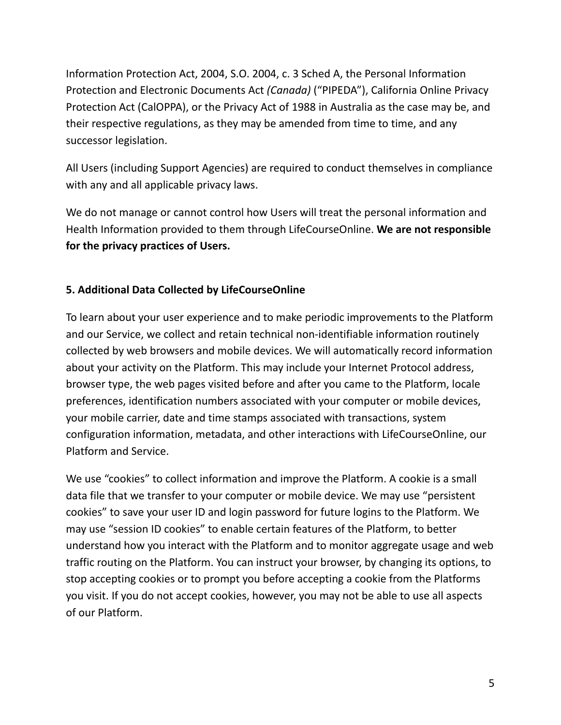Information Protection Act, 2004, S.O. 2004, c. 3 Sched A, the Personal Information Protection and Electronic Documents Act *(Canada)* ("PIPEDA"), California Online Privacy Protection Act (CalOPPA), or the Privacy Act of 1988 in Australia as the case may be, and their respective regulations, as they may be amended from time to time, and any successor legislation.

All Users (including Support Agencies) are required to conduct themselves in compliance with any and all applicable privacy laws.

We do not manage or cannot control how Users will treat the personal information and Health Information provided to them through LifeCourseOnline. **We are not responsible for the privacy practices of Users.**

### **5. Additional Data Collected by LifeCourseOnline**

To learn about your user experience and to make periodic improvements to the Platform and our Service, we collect and retain technical non-identifiable information routinely collected by web browsers and mobile devices. We will automatically record information about your activity on the Platform. This may include your Internet Protocol address, browser type, the web pages visited before and after you came to the Platform, locale preferences, identification numbers associated with your computer or mobile devices, your mobile carrier, date and time stamps associated with transactions, system configuration information, metadata, and other interactions with LifeCourseOnline, our Platform and Service.

We use "cookies" to collect information and improve the Platform. A cookie is a small data file that we transfer to your computer or mobile device. We may use "persistent cookies" to save your user ID and login password for future logins to the Platform. We may use "session ID cookies" to enable certain features of the Platform, to better understand how you interact with the Platform and to monitor aggregate usage and web traffic routing on the Platform. You can instruct your browser, by changing its options, to stop accepting cookies or to prompt you before accepting a cookie from the Platforms you visit. If you do not accept cookies, however, you may not be able to use all aspects of our Platform.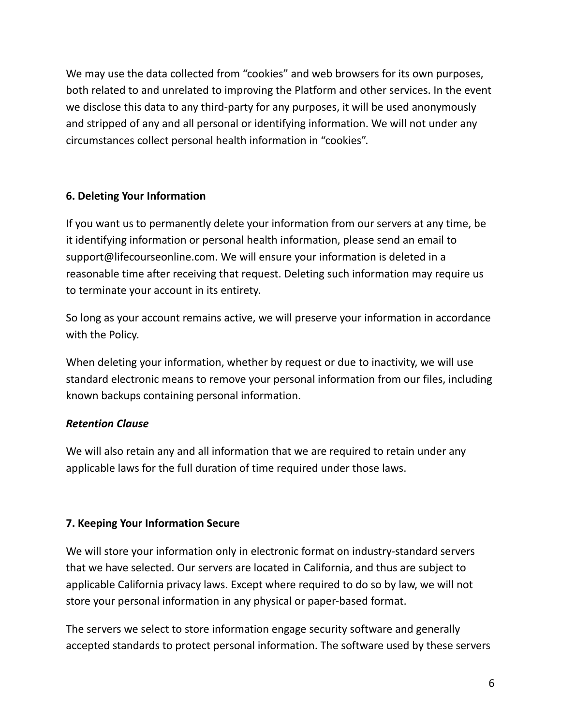We may use the data collected from "cookies" and web browsers for its own purposes, both related to and unrelated to improving the Platform and other services. In the event we disclose this data to any third-party for any purposes, it will be used anonymously and stripped of any and all personal or identifying information. We will not under any circumstances collect personal health information in "cookies".

### **6. Deleting Your Information**

If you want us to permanently delete your information from our servers at any time, be it identifying information or personal health information, please send an email to support@lifecourseonline.com. We will ensure your information is deleted in a reasonable time after receiving that request. Deleting such information may require us to terminate your account in its entirety.

So long as your account remains active, we will preserve your information in accordance with the Policy.

When deleting your information, whether by request or due to inactivity, we will use standard electronic means to remove your personal information from our files, including known backups containing personal information.

### *Retention Clause*

We will also retain any and all information that we are required to retain under any applicable laws for the full duration of time required under those laws.

### **7. Keeping Your Information Secure**

We will store your information only in electronic format on industry-standard servers that we have selected. Our servers are located in California, and thus are subject to applicable California privacy laws. Except where required to do so by law, we will not store your personal information in any physical or paper-based format.

The servers we select to store information engage security software and generally accepted standards to protect personal information. The software used by these servers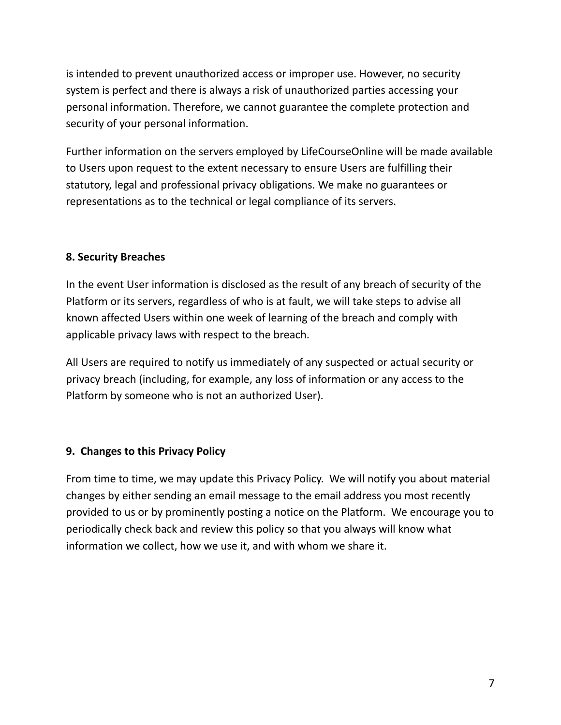is intended to prevent unauthorized access or improper use. However, no security system is perfect and there is always a risk of unauthorized parties accessing your personal information. Therefore, we cannot guarantee the complete protection and security of your personal information.

Further information on the servers employed by LifeCourseOnline will be made available to Users upon request to the extent necessary to ensure Users are fulfilling their statutory, legal and professional privacy obligations. We make no guarantees or representations as to the technical or legal compliance of its servers.

### **8. Security Breaches**

In the event User information is disclosed as the result of any breach of security of the Platform or its servers, regardless of who is at fault, we will take steps to advise all known affected Users within one week of learning of the breach and comply with applicable privacy laws with respect to the breach.

All Users are required to notify us immediately of any suspected or actual security or privacy breach (including, for example, any loss of information or any access to the Platform by someone who is not an authorized User).

### **9. Changes to this Privacy Policy**

From time to time, we may update this Privacy Policy. We will notify you about material changes by either sending an email message to the email address you most recently provided to us or by prominently posting a notice on the Platform. We encourage you to periodically check back and review this policy so that you always will know what information we collect, how we use it, and with whom we share it.